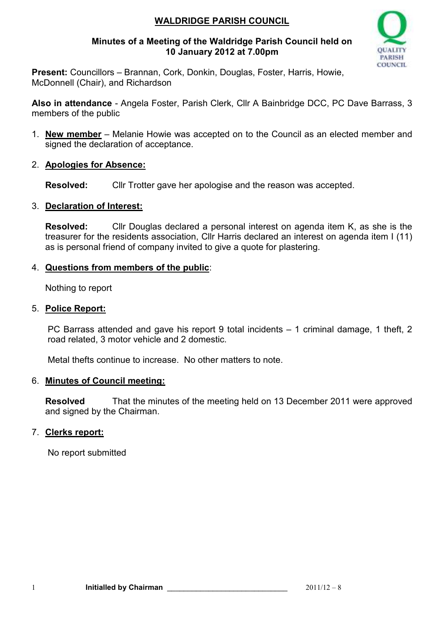## **WALDRIDGE PARISH COUNCIL**

#### **Minutes of a Meeting of the Waldridge Parish Council held on 10 January 2012 at 7.00pm**



**Present:** Councillors – Brannan, Cork, Donkin, Douglas, Foster, Harris, Howie, McDonnell (Chair), and Richardson

**Also in attendance** - Angela Foster, Parish Clerk, Cllr A Bainbridge DCC, PC Dave Barrass, 3 members of the public

- 1. **New member** Melanie Howie was accepted on to the Council as an elected member and signed the declaration of acceptance.
- 2. **Apologies for Absence:**

**Resolved:** Cllr Trotter gave her apologise and the reason was accepted.

#### 3. **Declaration of Interest:**

**Resolved:** Cllr Douglas declared a personal interest on agenda item K, as she is the treasurer for the residents association, Cllr Harris declared an interest on agenda item I (11) as is personal friend of company invited to give a quote for plastering.

## 4. **Questions from members of the public**:

Nothing to report

#### 5. **Police Report:**

PC Barrass attended and gave his report 9 total incidents – 1 criminal damage, 1 theft, 2 road related, 3 motor vehicle and 2 domestic.

Metal thefts continue to increase. No other matters to note.

#### 6. **Minutes of Council meeting:**

**Resolved** That the minutes of the meeting held on 13 December 2011 were approved and signed by the Chairman.

## 7. **Clerks report:**

No report submitted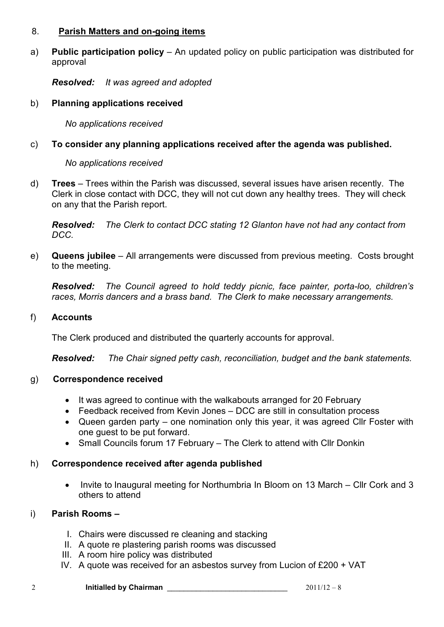#### 8. **Parish Matters and on-going items**

a) **Public participation policy** – An updated policy on public participation was distributed for approval

*Resolved: It was agreed and adopted* 

## b) **Planning applications received**

*No applications received* 

## c) **To consider any planning applications received after the agenda was published.**

#### *No applications received*

d) **Trees** – Trees within the Parish was discussed, several issues have arisen recently. The Clerk in close contact with DCC, they will not cut down any healthy trees. They will check on any that the Parish report.

*Resolved: The Clerk to contact DCC stating 12 Glanton have not had any contact from DCC.*

e) **Queens jubilee** – All arrangements were discussed from previous meeting. Costs brought to the meeting.

*Resolved: The Council agreed to hold teddy picnic, face painter, porta-loo, children's races, Morris dancers and a brass band. The Clerk to make necessary arrangements.*

## f) **Accounts**

The Clerk produced and distributed the quarterly accounts for approval.

*Resolved: The Chair signed petty cash, reconciliation, budget and the bank statements.*

## g) **Correspondence received**

- It was agreed to continue with the walkabouts arranged for 20 February
- Feedback received from Kevin Jones DCC are still in consultation process
- Queen garden party one nomination only this year, it was agreed Cllr Foster with one guest to be put forward.
- Small Councils forum 17 February The Clerk to attend with Cllr Donkin

## h) **Correspondence received after agenda published**

• Invite to Inaugural meeting for Northumbria In Bloom on 13 March – Cllr Cork and 3 others to attend

#### i) **Parish Rooms –**

- I. Chairs were discussed re cleaning and stacking
- II. A quote re plastering parish rooms was discussed
- III. A room hire policy was distributed
- IV. A quote was received for an asbestos survey from Lucion of £200 + VAT

| <b>Initialled by Chairman</b> | $2011/12 - 8$ |
|-------------------------------|---------------|
|                               |               |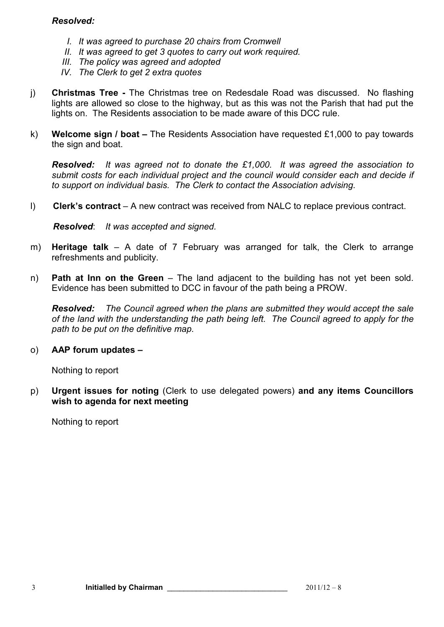## *Resolved:*

- *I. It was agreed to purchase 20 chairs from Cromwell*
- *II. It was agreed to get 3 quotes to carry out work required.*
- *III. The policy was agreed and adopted*
- *IV. The Clerk to get 2 extra quotes*
- j) **Christmas Tree** The Christmas tree on Redesdale Road was discussed. No flashing lights are allowed so close to the highway, but as this was not the Parish that had put the lights on. The Residents association to be made aware of this DCC rule.
- k) **Welcome sign / boat** The Residents Association have requested £1,000 to pay towards the sign and boat.

*Resolved: It was agreed not to donate the £1,000. It was agreed the association to submit costs for each individual project and the council would consider each and decide if to support on individual basis. The Clerk to contact the Association advising.* 

l) **Clerk's contract** – A new contract was received from NALC to replace previous contract.

*Resolved*: *It was accepted and signed.* 

- m) **Heritage talk**  A date of 7 February was arranged for talk, the Clerk to arrange refreshments and publicity.
- n) **Path at Inn on the Green** The land adjacent to the building has not yet been sold. Evidence has been submitted to DCC in favour of the path being a PROW.

*Resolved: The Council agreed when the plans are submitted they would accept the sale of the land with the understanding the path being left. The Council agreed to apply for the path to be put on the definitive map.* 

#### o) **AAP forum updates –**

Nothing to report

p) **Urgent issues for noting** (Clerk to use delegated powers) **and any items Councillors wish to agenda for next meeting** 

Nothing to report